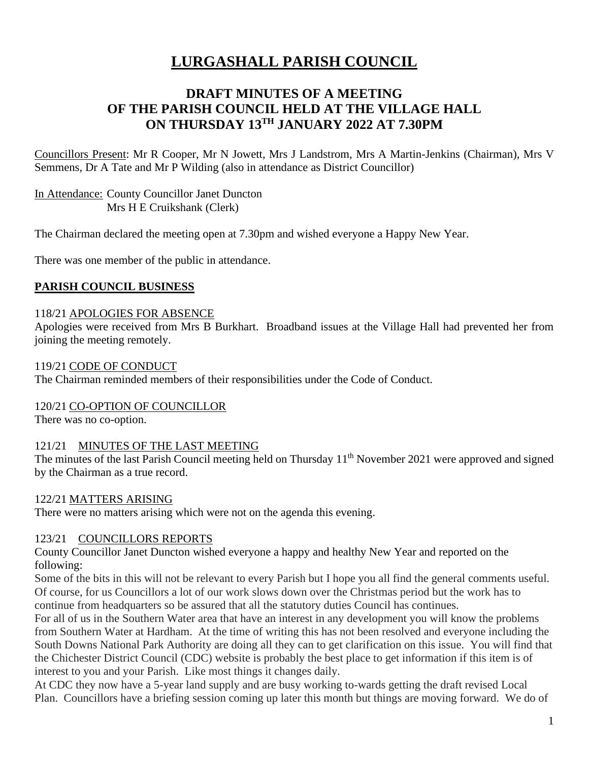# **LURGASHALL PARISH COUNCIL**

## **DRAFT MINUTES OF A MEETING OF THE PARISH COUNCIL HELD AT THE VILLAGE HALL ON THURSDAY 13 TH JANUARY 2022 AT 7.30PM**

Councillors Present: Mr R Cooper, Mr N Jowett, Mrs J Landstrom, Mrs A Martin-Jenkins (Chairman), Mrs V Semmens, Dr A Tate and Mr P Wilding (also in attendance as District Councillor)

In Attendance: County Councillor Janet Duncton Mrs H E Cruikshank (Clerk)

The Chairman declared the meeting open at 7.30pm and wished everyone a Happy New Year.

There was one member of the public in attendance.

#### **PARISH COUNCIL BUSINESS**

#### 118/21 APOLOGIES FOR ABSENCE

Apologies were received from Mrs B Burkhart. Broadband issues at the Village Hall had prevented her from joining the meeting remotely.

#### 119/21 CODE OF CONDUCT

The Chairman reminded members of their responsibilities under the Code of Conduct.

#### 120/21 CO-OPTION OF COUNCILLOR

There was no co-option.

#### 121/21 MINUTES OF THE LAST MEETING

The minutes of the last Parish Council meeting held on Thursday 11<sup>th</sup> November 2021 were approved and signed by the Chairman as a true record.

#### 122/21 MATTERS ARISING

There were no matters arising which were not on the agenda this evening.

#### 123/21 COUNCILLORS REPORTS

County Councillor Janet Duncton wished everyone a happy and healthy New Year and reported on the following:

Some of the bits in this will not be relevant to every Parish but I hope you all find the general comments useful. Of course, for us Councillors a lot of our work slows down over the Christmas period but the work has to continue from headquarters so be assured that all the statutory duties Council has continues.

For all of us in the Southern Water area that have an interest in any development you will know the problems from Southern Water at Hardham. At the time of writing this has not been resolved and everyone including the South Downs National Park Authority are doing all they can to get clarification on this issue. You will find that the Chichester District Council (CDC) website is probably the best place to get information if this item is of interest to you and your Parish. Like most things it changes daily.

At CDC they now have a 5-year land supply and are busy working to-wards getting the draft revised Local Plan. Councillors have a briefing session coming up later this month but things are moving forward. We do of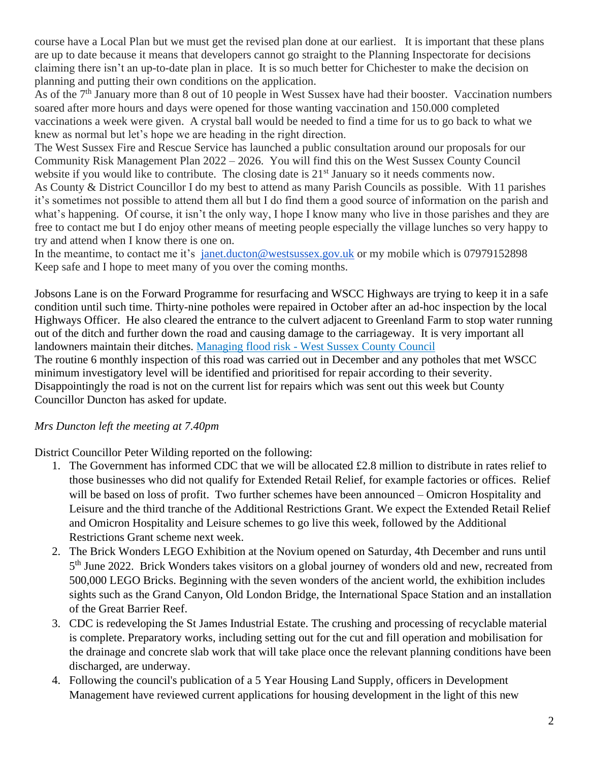course have a Local Plan but we must get the revised plan done at our earliest. It is important that these plans are up to date because it means that developers cannot go straight to the Planning Inspectorate for decisions claiming there isn't an up-to-date plan in place. It is so much better for Chichester to make the decision on planning and putting their own conditions on the application.

As of the 7<sup>th</sup> January more than 8 out of 10 people in West Sussex have had their booster. Vaccination numbers soared after more hours and days were opened for those wanting vaccination and 150.000 completed vaccinations a week were given. A crystal ball would be needed to find a time for us to go back to what we knew as normal but let's hope we are heading in the right direction.

The West Sussex Fire and Rescue Service has launched a public consultation around our proposals for our Community Risk Management Plan 2022 – 2026. You will find this on the West Sussex County Council website if you would like to contribute. The closing date is 21<sup>st</sup> January so it needs comments now.

As County & District Councillor I do my best to attend as many Parish Councils as possible. With 11 parishes it's sometimes not possible to attend them all but I do find them a good source of information on the parish and what's happening. Of course, it isn't the only way, I hope I know many who live in those parishes and they are free to contact me but I do enjoy other means of meeting people especially the village lunches so very happy to try and attend when I know there is one on.

In the meantime, to contact me it's [janet.ducton@westsussex.gov.uk](mailto:janet.ducton@westsussex.gov.uk) or my mobile which is 07979152898 Keep safe and I hope to meet many of you over the coming months.

Jobsons Lane is on the Forward Programme for resurfacing and WSCC Highways are trying to keep it in a safe condition until such time. Thirty-nine potholes were repaired in October after an ad-hoc inspection by the local Highways Officer. He also cleared the entrance to the culvert adjacent to Greenland Farm to stop water running out of the ditch and further down the road and causing damage to the carriageway. It is very important all landowners maintain their ditches. Managing flood risk - [West Sussex County Council](https://www.westsussex.gov.uk/fire-emergencies-and-crime/dealing-with-extreme-weather/flooding/flood-risk-management/managing-flood-risk/) The routine 6 monthly inspection of this road was carried out in December and any potholes that met WSCC minimum investigatory level will be identified and prioritised for repair according to their severity.

Disappointingly the road is not on the current list for repairs which was sent out this week but County Councillor Duncton has asked for update.

## *Mrs Duncton left the meeting at 7.40pm*

District Councillor Peter Wilding reported on the following:

- 1. The Government has informed CDC that we will be allocated £2.8 million to distribute in rates relief to those businesses who did not qualify for Extended Retail Relief, for example factories or offices. Relief will be based on loss of profit. Two further schemes have been announced – Omicron Hospitality and Leisure and the third tranche of the Additional Restrictions Grant. We expect the Extended Retail Relief and Omicron Hospitality and Leisure schemes to go live this week, followed by the Additional Restrictions Grant scheme next week.
- 2. The Brick Wonders LEGO Exhibition at the Novium opened on Saturday, 4th December and runs until 5<sup>th</sup> June 2022. Brick Wonders takes visitors on a global journey of wonders old and new, recreated from 500,000 LEGO Bricks. Beginning with the seven wonders of the ancient world, the exhibition includes sights such as the Grand Canyon, Old London Bridge, the International Space Station and an installation of the Great Barrier Reef.
- 3. CDC is redeveloping the St James Industrial Estate. The crushing and processing of recyclable material is complete. Preparatory works, including setting out for the cut and fill operation and mobilisation for the drainage and concrete slab work that will take place once the relevant planning conditions have been discharged, are underway.
- 4. Following the council's publication of a 5 Year Housing Land Supply, officers in Development Management have reviewed current applications for housing development in the light of this new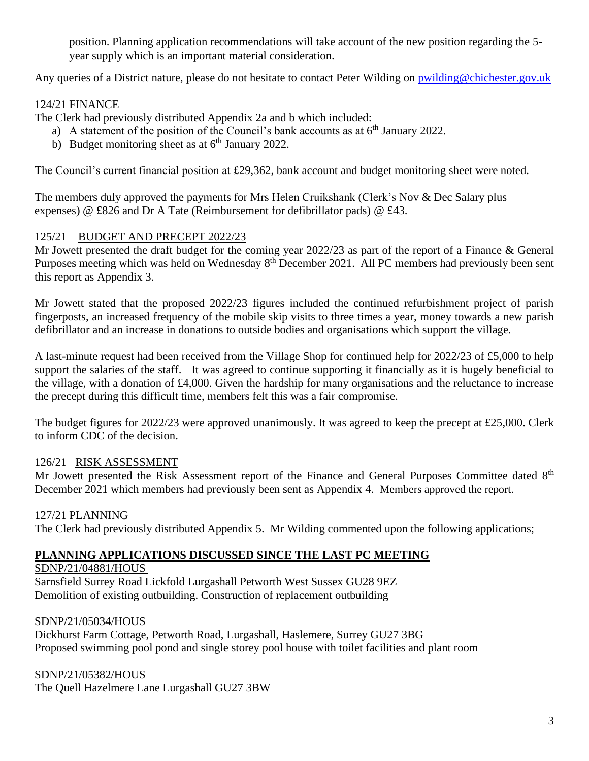position. Planning application recommendations will take account of the new position regarding the 5 year supply which is an important material consideration.

Any queries of a District nature, please do not hesitate to contact Peter Wilding on [pwilding@chichester.gov.uk](mailto:pwilding@chichester.gov.uk)

## 124/21 FINANCE

The Clerk had previously distributed Appendix 2a and b which included:

- a) A statement of the position of the Council's bank accounts as at  $6<sup>th</sup>$  January 2022.
- b) Budget monitoring sheet as at  $6<sup>th</sup>$  January 2022.

The Council's current financial position at £29,362, bank account and budget monitoring sheet were noted.

The members duly approved the payments for Mrs Helen Cruikshank (Clerk's Nov & Dec Salary plus expenses) @ £826 and Dr A Tate (Reimbursement for defibrillator pads) @ £43.

## 125/21 BUDGET AND PRECEPT 2022/23

Mr Jowett presented the draft budget for the coming year 2022/23 as part of the report of a Finance & General Purposes meeting which was held on Wednesday 8<sup>th</sup> December 2021. All PC members had previously been sent this report as Appendix 3.

Mr Jowett stated that the proposed 2022/23 figures included the continued refurbishment project of parish fingerposts, an increased frequency of the mobile skip visits to three times a year, money towards a new parish defibrillator and an increase in donations to outside bodies and organisations which support the village.

A last-minute request had been received from the Village Shop for continued help for 2022/23 of £5,000 to help support the salaries of the staff. It was agreed to continue supporting it financially as it is hugely beneficial to the village, with a donation of £4,000. Given the hardship for many organisations and the reluctance to increase the precept during this difficult time, members felt this was a fair compromise.

The budget figures for 2022/23 were approved unanimously. It was agreed to keep the precept at £25,000. Clerk to inform CDC of the decision.

#### 126/21 RISK ASSESSMENT

Mr Jowett presented the Risk Assessment report of the Finance and General Purposes Committee dated 8<sup>th</sup> December 2021 which members had previously been sent as Appendix 4. Members approved the report.

127/21 PLANNING The Clerk had previously distributed Appendix 5. Mr Wilding commented upon the following applications;

## **PLANNING APPLICATIONS DISCUSSED SINCE THE LAST PC MEETING**

SDNP/21/04881/HOUS Sarnsfield Surrey Road Lickfold Lurgashall Petworth West Sussex GU28 9EZ Demolition of existing outbuilding. Construction of replacement outbuilding

#### SDNP/21/05034/HOUS

Dickhurst Farm Cottage, Petworth Road, Lurgashall, Haslemere, Surrey GU27 3BG Proposed swimming pool pond and single storey pool house with toilet facilities and plant room

#### SDNP/21/05382/HOUS

The Quell Hazelmere Lane Lurgashall GU27 3BW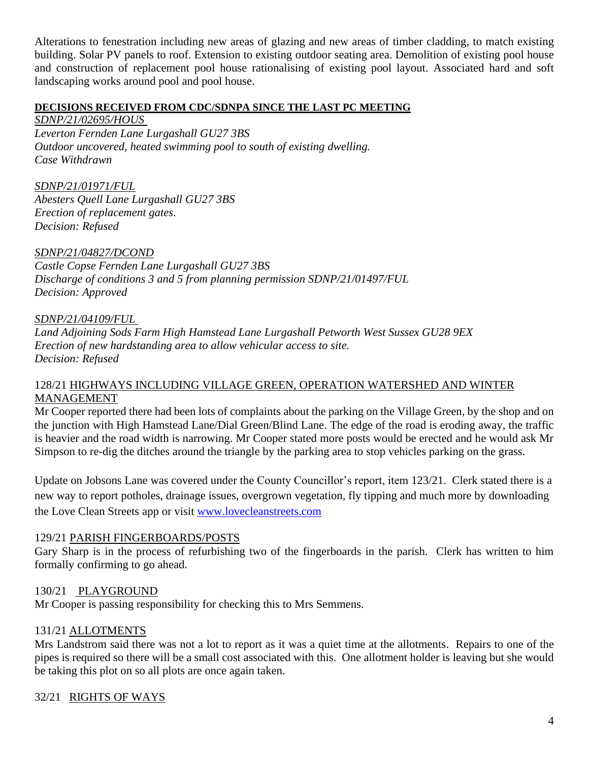Alterations to fenestration including new areas of glazing and new areas of timber cladding, to match existing building. Solar PV panels to roof. Extension to existing outdoor seating area. Demolition of existing pool house and construction of replacement pool house rationalising of existing pool layout. Associated hard and soft landscaping works around pool and pool house.

#### **DECISIONS RECEIVED FROM CDC/SDNPA SINCE THE LAST PC MEETING**

*SDNP/21/02695/HOUS Leverton Fernden Lane Lurgashall GU27 3BS Outdoor uncovered, heated swimming pool to south of existing dwelling. Case Withdrawn*

*SDNP/21/01971/FUL Abesters Quell Lane Lurgashall GU27 3BS Erection of replacement gates. Decision: Refused*

*SDNP/21/04827/DCOND Castle Copse Fernden Lane Lurgashall GU27 3BS Discharge of conditions 3 and 5 from planning permission SDNP/21/01497/FUL Decision: Approved*

*SDNP/21/04109/FUL Land Adjoining Sods Farm High Hamstead Lane Lurgashall Petworth West Sussex GU28 9EX Erection of new hardstanding area to allow vehicular access to site. Decision: Refused*

#### 128/21 HIGHWAYS INCLUDING VILLAGE GREEN, OPERATION WATERSHED AND WINTER MANAGEMENT

Mr Cooper reported there had been lots of complaints about the parking on the Village Green, by the shop and on the junction with High Hamstead Lane/Dial Green/Blind Lane. The edge of the road is eroding away, the traffic is heavier and the road width is narrowing. Mr Cooper stated more posts would be erected and he would ask Mr Simpson to re-dig the ditches around the triangle by the parking area to stop vehicles parking on the grass.

Update on Jobsons Lane was covered under the County Councillor's report, item 123/21. Clerk stated there is a new way to report potholes, drainage issues, overgrown vegetation, fly tipping and much more by downloading the Love Clean Streets app or visit [www.lovecleanstreets.com](https://l.facebook.com/l.php?u=http%3A%2F%2Fwww.lovecleanstreets.com%2F%3Ffbclid%3DIwAR0KwuzURUV_Kw5DjQC7Dhc30kRLrDu_58O-SZiyZDI2UGGucbX1YFrHjf0&h=AT1LZwMmO9rD6Ged982vNP60CeuQcMATBazjRVkwghCNZQRcUOcGsmeDzTcXCzcxG7tbQ5j600jfaesNdUwxhjAAfdr608k3pGWS13sv_Cgy-u-AeAzGpnuuTXotY1e31xvBEAEavg&__tn__=-UK-R&c%5b0%5d=AT1j1UT0C6BUlxbRd0AgJuj5M6WIuiJ1N-qLxLyCVx7WRNIfGjsmh7P3el2lxN_6ftLM3T5d9gUM7lI9Kf5DVPG9ycZipXBRbZ8UMk243Wld7J9QDcB-xdEtRNLjsc39Zb2dRqvFfM8zfR9nigDytcFu492oasAx5fvBbmdbe5FJtGnMv_-TszOKs4LqmSvHBBTJD6b0bEzZoNQ)

#### 129/21 PARISH FINGERBOARDS/POSTS

Gary Sharp is in the process of refurbishing two of the fingerboards in the parish. Clerk has written to him formally confirming to go ahead.

#### 130/21 PLAYGROUND

Mr Cooper is passing responsibility for checking this to Mrs Semmens.

#### 131/21 ALLOTMENTS

Mrs Landstrom said there was not a lot to report as it was a quiet time at the allotments. Repairs to one of the pipes is required so there will be a small cost associated with this. One allotment holder is leaving but she would be taking this plot on so all plots are once again taken.

#### 32/21 RIGHTS OF WAYS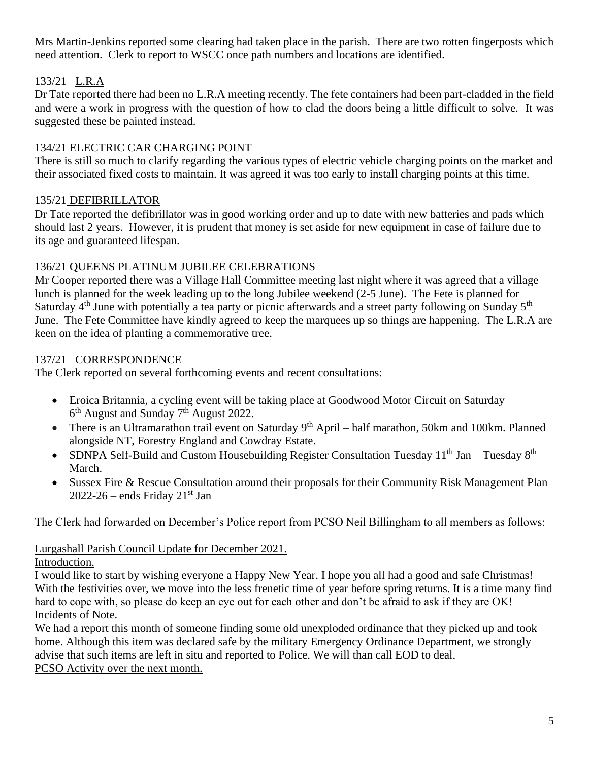Mrs Martin-Jenkins reported some clearing had taken place in the parish. There are two rotten fingerposts which need attention. Clerk to report to WSCC once path numbers and locations are identified.

## 133/21 L.R.A

Dr Tate reported there had been no L.R.A meeting recently. The fete containers had been part-cladded in the field and were a work in progress with the question of how to clad the doors being a little difficult to solve. It was suggested these be painted instead.

## 134/21 ELECTRIC CAR CHARGING POINT

There is still so much to clarify regarding the various types of electric vehicle charging points on the market and their associated fixed costs to maintain. It was agreed it was too early to install charging points at this time.

## 135/21 DEFIBRILLATOR

Dr Tate reported the defibrillator was in good working order and up to date with new batteries and pads which should last 2 years. However, it is prudent that money is set aside for new equipment in case of failure due to its age and guaranteed lifespan.

## 136/21 QUEENS PLATINUM JUBILEE CELEBRATIONS

Mr Cooper reported there was a Village Hall Committee meeting last night where it was agreed that a village lunch is planned for the week leading up to the long Jubilee weekend (2-5 June). The Fete is planned for Saturday 4<sup>th</sup> June with potentially a tea party or picnic afterwards and a street party following on Sunday 5<sup>th</sup> June. The Fete Committee have kindly agreed to keep the marquees up so things are happening. The L.R.A are keen on the idea of planting a commemorative tree.

## 137/21 CORRESPONDENCE

The Clerk reported on several forthcoming events and recent consultations:

- Eroica Britannia, a cycling event will be taking place at Goodwood Motor Circuit on Saturday 6<sup>th</sup> August and Sunday 7<sup>th</sup> August 2022.
- There is an Ultramarathon trail event on Saturday  $9<sup>th</sup>$  April half marathon, 50km and 100km. Planned alongside NT, Forestry England and Cowdray Estate.
- SDNPA Self-Build and Custom Housebuilding Register Consultation Tuesday  $11<sup>th</sup>$  Jan Tuesday  $8<sup>th</sup>$ March.
- Sussex Fire & Rescue Consultation around their proposals for their Community Risk Management Plan  $2022-26$  – ends Friday  $21<sup>st</sup>$  Jan

The Clerk had forwarded on December's Police report from PCSO Neil Billingham to all members as follows:

Lurgashall Parish Council Update for December 2021.

Introduction.

I would like to start by wishing everyone a Happy New Year. I hope you all had a good and safe Christmas! With the festivities over, we move into the less frenetic time of year before spring returns. It is a time many find hard to cope with, so please do keep an eye out for each other and don't be afraid to ask if they are OK! Incidents of Note.

We had a report this month of someone finding some old unexploded ordinance that they picked up and took home. Although this item was declared safe by the military Emergency Ordinance Department, we strongly advise that such items are left in situ and reported to Police. We will than call EOD to deal. PCSO Activity over the next month.